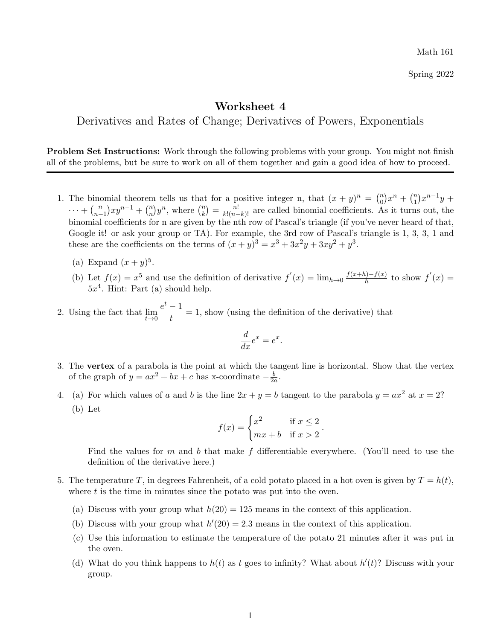Spring 2022

## Worksheet 4

Derivatives and Rates of Change; Derivatives of Powers, Exponentials

Problem Set Instructions: Work through the following problems with your group. You might not finish all of the problems, but be sure to work on all of them together and gain a good idea of how to proceed.

- 1. The binomial theorem tells us that for a positive integer n, that  $(x + y)^n = \binom{n}{0}$  ${n \choose 0} x^n + {n \choose 1}$  $\binom{n}{1}x^{n-1}y +$  $\cdots$  +  $\binom{n}{n}$  $\binom{n}{n-1}xy^{n-1} + \binom{n}{n}$  $\binom{n}{n}y^n$ , where  $\binom{n}{k}$  $\binom{n}{k} = \frac{n!}{k!(n-k)!}$  are called binomial coefficients. As it turns out, the binomial coefficients for n are given by the nth row of Pascal's triangle (if you've never heard of that, Google it! or ask your group or TA). For example, the 3rd row of Pascal's triangle is 1, 3, 3, 1 and these are the coefficients on the terms of  $(x+y)^3 = x^3 + 3x^2y + 3xy^2 + y^3$ .
	- (a) Expand  $(x+y)^5$ .
	- (b) Let  $f(x) = x^5$  and use the definition of derivative  $f'(x) = \lim_{h\to 0} \frac{f(x+h)-f(x)}{h}$  $\frac{h^{(n)}-f(x)}{h}$  to show  $f'(x) =$  $5x<sup>4</sup>$ . Hint: Part (a) should help.
- 2. Using the fact that  $\lim_{t\to 0}$  $e^t-1$  $\frac{1}{t} = 1$ , show (using the definition of the derivative) that

$$
\frac{d}{dx}e^x = e^x
$$

.

- 3. The vertex of a parabola is the point at which the tangent line is horizontal. Show that the vertex of the graph of  $y = ax^2 + bx + c$  has x-coordinate  $-\frac{b}{2a}$  $\frac{b}{2a}$ .
- 4. (a) For which values of a and b is the line  $2x + y = b$  tangent to the parabola  $y = ax^2$  at  $x = 2$ ? (b) Let

$$
f(x) = \begin{cases} x^2 & \text{if } x \le 2 \\ mx + b & \text{if } x > 2 \end{cases}.
$$

Find the values for m and b that make f differentiable everywhere. (You'll need to use the definition of the derivative here.)

- 5. The temperature T, in degrees Fahrenheit, of a cold potato placed in a hot oven is given by  $T = h(t)$ , where  $t$  is the time in minutes since the potato was put into the oven.
	- (a) Discuss with your group what  $h(20) = 125$  means in the context of this application.
	- (b) Discuss with your group what  $h'(20) = 2.3$  means in the context of this application.
	- (c) Use this information to estimate the temperature of the potato 21 minutes after it was put in the oven.
	- (d) What do you think happens to  $h(t)$  as t goes to infinity? What about  $h'(t)$ ? Discuss with your group.